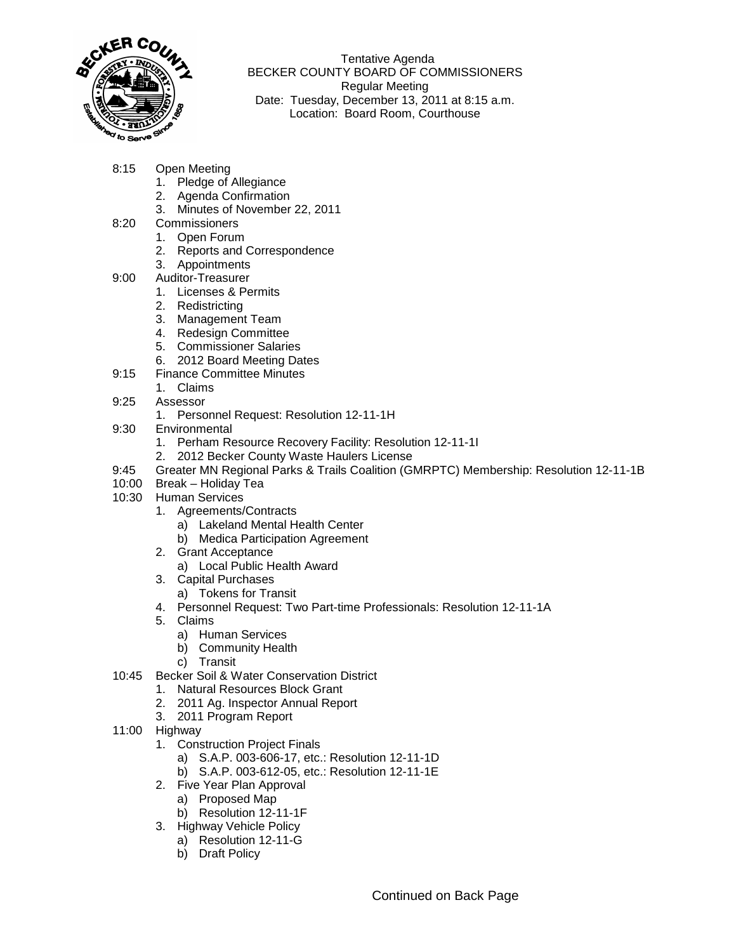

 Tentative Agenda BECKER COUNTY BOARD OF COMMISSIONERS Regular Meeting Date: Tuesday, December 13, 2011 at 8:15 a.m. Location: Board Room, Courthouse

- 8:15 Open Meeting
	- 1. Pledge of Allegiance
	- 2. Agenda Confirmation
	- 3. Minutes of November 22, 2011
- 8:20 Commissioners
	- 1. Open Forum
	- 2. Reports and Correspondence
	- 3. Appointments
- 9:00 Auditor-Treasurer
	- 1. Licenses & Permits
	- 2. Redistricting
	- 3. Management Team
	- 4. Redesign Committee
	- 5. Commissioner Salaries
	- 6. 2012 Board Meeting Dates
- 9:15 Finance Committee Minutes
	- 1. Claims
- 9:25 Assessor
	- 1. Personnel Request: Resolution 12-11-1H
- 9:30 Environmental
	- 1. Perham Resource Recovery Facility: Resolution 12-11-1I
	- 2. 2012 Becker County Waste Haulers License
- 9:45 Greater MN Regional Parks & Trails Coalition (GMRPTC) Membership: Resolution 12-11-1B
- 10:00 Break Holiday Tea
- 10:30 Human Services
	- 1. Agreements/Contracts
		- a) Lakeland Mental Health Center
		- b) Medica Participation Agreement
	- 2. Grant Acceptance
		- a) Local Public Health Award
	- 3. Capital Purchases
	- a) Tokens for Transit
	- 4. Personnel Request: Two Part-time Professionals: Resolution 12-11-1A
	- 5. Claims
		- a) Human Services
		- b) Community Health
		- c) Transit
- 10:45 Becker Soil & Water Conservation District
	- 1. Natural Resources Block Grant
	- 2. 2011 Ag. Inspector Annual Report
	- 3. 2011 Program Report
- 11:00 Highway
	- 1. Construction Project Finals
		- a) S.A.P. 003-606-17, etc.: Resolution 12-11-1D
		- b) S.A.P. 003-612-05, etc.: Resolution 12-11-1E
	- 2. Five Year Plan Approval
		- a) Proposed Map
		- b) Resolution 12-11-1F
	- 3. Highway Vehicle Policy
		- a) Resolution 12-11-G
		- b) Draft Policy